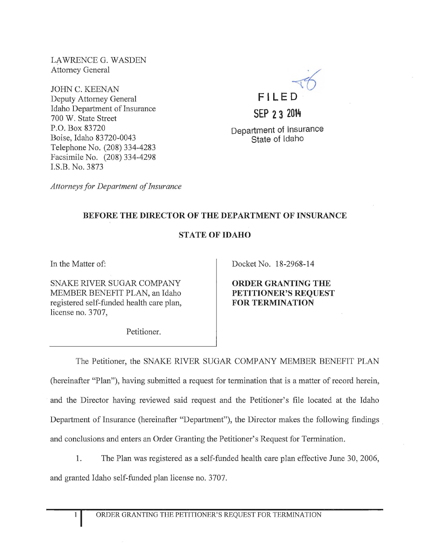LAWRENCE G. WASDEN Attorney General

JOHN C. KEENAN Deputy Attorney General Idaho Department of Insurance 700 W. State Street P.O. Box 83720 Boise, Idaho 83720-0043 Telephone No. (208) 334-4283 Facsimile No. (208) 334-4298 I.S.B. No. 3873



Department of Insurance State of Idaho

*Attorneys for Department of Insurance* 

## BEFORE THE DIRECTOR OF THE DEPARTMENT OF INSURANCE

## STATE OF IDAHO

In the Matter of:

SNAKE RIVER SUGAR COMPANY MEMBER BENEFIT PLAN, an Idaho registered self-funded health care plan, license no. 3707,

Docket No. 18-2968-14

ORDER GRANTING THE PETITIONER'S REQUEST FOR TERMINATION

Petitioner.

The Petitioner, the SNAKE RIVER SUGAR COMPANY MEMBER BENEFIT PLAN (hereinafter "Plan"), having submitted a request for termination that is a matter of record herein, and the Director having reviewed said request and the Petitioner's file located at the Idaho Department of Insurance (hereinafter "Department"), the Director makes the following findings and conclusions and enters an Order Granting the Petitioner's Request for Termination.

1. The Plan was registered as a self-funded health care plan effective June 30, 2006,

and granted Idaho self-funded plan license no. 3707.

1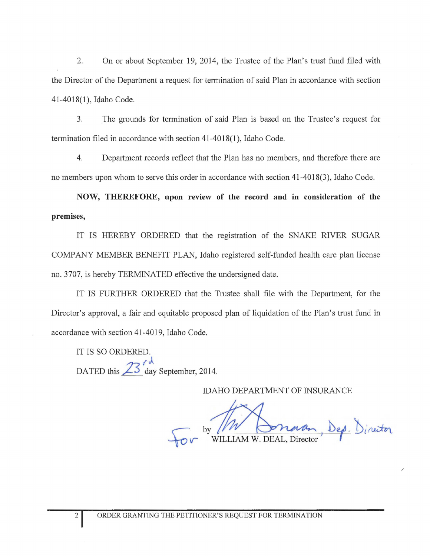2. On or about September 19, 2014, the Trustee of the Plan's trust fund filed with the Director of the Department a request for termination of said Plan in accordance with section 41-4018(1), Idaho Code.

3. The grounds for termination of said Plan is based on the Trustee's request for termination filed in accordance with section 41-40 18(1 ), Idaho Code.

4. Department records reflect that the Plan has no members, and therefore there are no members upon whom to serve this order in accordance with section 41-4018(3), Idaho Code.

**NOW, THEREFORE, upon review of the record and in consideration of the premises,** 

IT IS HEREBY ORDERED that the registration of the SNAKE RIVER SUGAR COMPANY MEMBER BENEFIT PLAN, Idaho registered self-funded health care plan license no. 3707, is hereby TERMINATED effective the undersigned date.

IT IS FURTHER ORDERED that the Trustee shall file with the Depattment, for the Director's approval, a fair and equitable proposed plan of liquidation of the Plan's trust fund in accordance with section 41-4019, Idaho Code.

IT IS SO ORDERED. DATED this  $23 \int_{\text{day}}^{\text{cd}}$  September, 2014.

IDAHO DEPARTMENT OF INSURANCE

ptember, 2014.<br>
IDAHO DEPARTMENT OF INSURANCE<br>
For by WILLIAM W. DEAL, Director, Dep. Director Dep. Director

/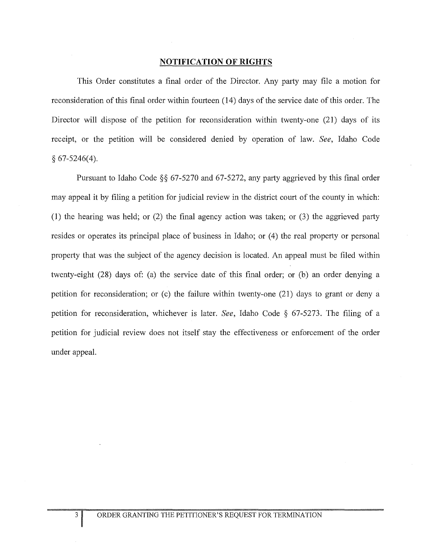## **NOTIFICATION OF RIGHTS**

This Order constitutes a final order of the Director. Any party may file a motion for reconsideration of this final order within fourteen (14) days of the service date of this order. The Director will dispose of the petition for reconsideration within twenty-one (21) days of its receipt, or the petition will be considered denied by operation of law. *See,* Idaho Code  $§ 67-5246(4).$ 

Pursuant to Idaho Code §§ 67-5270 and 67-5272, any party aggrieved by this final order may appeal it by filing a petition for judicial review in the district court of the county in which: (1) the hearing was held; or (2) the final agency action was taken; or (3) the aggrieved party resides or operates its principal place of business in Idaho; or (4) the real property or personal property that was the subject of the agency decision is located. An appeal must be filed within twenty-eight (28) days of: (a) the service date of this final order; or (b) an order denying a petition for reconsideration; or (c) the failure within twenty-one (21) days to grant or deny a petition for reconsideration, whichever is later. *See,* Idaho Code § 67-5273. The filing of a petition for judicial review does not itself stay the effectiveness or enforcement of the order under appeal.